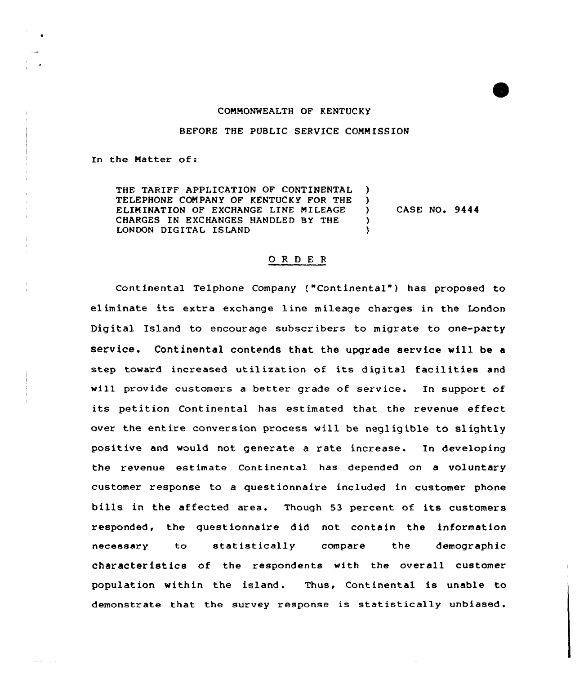## COMMONWEALTH OF KENTUCKY

## BEFORE THE PUBLIC SERVICE COMMISSION

In the Natter of:

THE TARIFF APPLICATION OF CONTINENTAL )<br>TELEPHONE COMPANY OF KENTUCKY FOR THE ) TELEPHONE COMPANY OF KENTUCKY FOR THE )<br>ELIMINATION OF EXCHANGE LINE MILEAGE ) ELIMINATION OF EXCHANGE LINE MILEAGE CHARGES IN EXCHANGES HANDLED BY THE ) LONDON DIGITAL ISLAND

CASE NO. 9444

## 0 R <sup>D</sup> E <sup>R</sup>

Continental Telphone Company ("Continental") has proposed to eliminate its extra exchange line mileage charges in the London Digital Island to encourage subscribers to migrate to one-party service. Continental contends that the upgrade service will be a step tcward increased utilization of its digital facilities and will provide customers a better grade of service. In support of its petition Continental has estimated that the revenue effeet over the entire conversion process will be negligible to slightly positive and would not generate a rate increase. In developing the revenue estimate Continental has depended on a voluntary customer response to a questionnaire included in customer phone bills in the affected area. Though 53 percent of its customers responded, the questionnaire did not contain the information necessary to statistically compare the demographic characteristics of the respondents with the overall customer population within the island. Thus, Continental is unable to demonstrate that the survey response is statistically unbiased.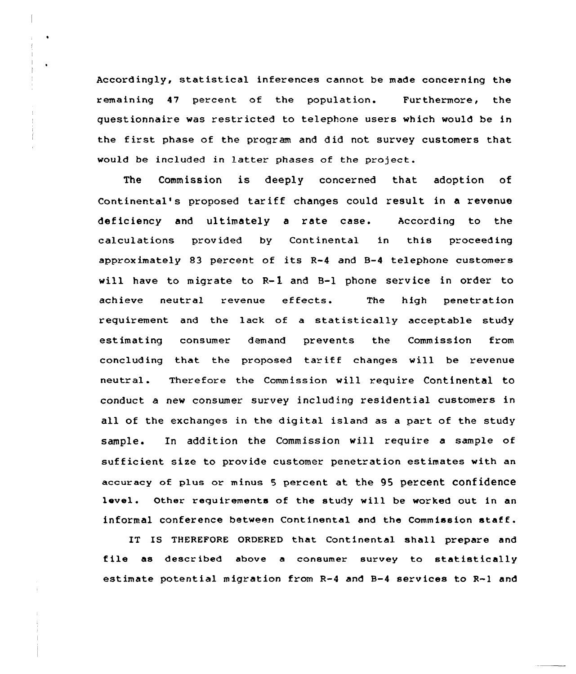Accordingly, statistical inferences cannot be made concerning the remaining 47 percent of the population. Furthermore, the questionnaire was restricted to telephone users which would be in the first phase of the program and did not survey customers that would be included in latter phases of the project.

The Commission is deeply concerned that adoption of Continental's proposed tariff changes could result in a revenue deficiency and ultimately a rate case. According to the calculations provided by Continental in this proceeding approximately 83 percent of its R-4 and B-4 telephone customers will have to migrate to  $R-I$  and  $B-I$  phone service in order to achieve neutral revenue effects. The high penetratio requirement and the lack of a statistically acceptable study estimating consumer demand prevents the Commission from concluding that the proposed tariff changes will be revenue neutral. Therefore the Commission will require Continental to conduct a new consumer survey including residential customers in all of the exchanges in the digital island as a part of the study sample. In addition the Commission will require a sample of sufficient size to provide customer penetration estimates with an accuracy of plus or minus 5 percent at the 95 percent confidence level. Other requirements of the study will be worked out in an informal conference between Continental and the Commission staff.

IT IS THEREFORE ORDERED that Continental shall prepare and file as described above <sup>a</sup> consumer survey to statistically estimate potential migration from R-4 and 8-4 services to R-l and